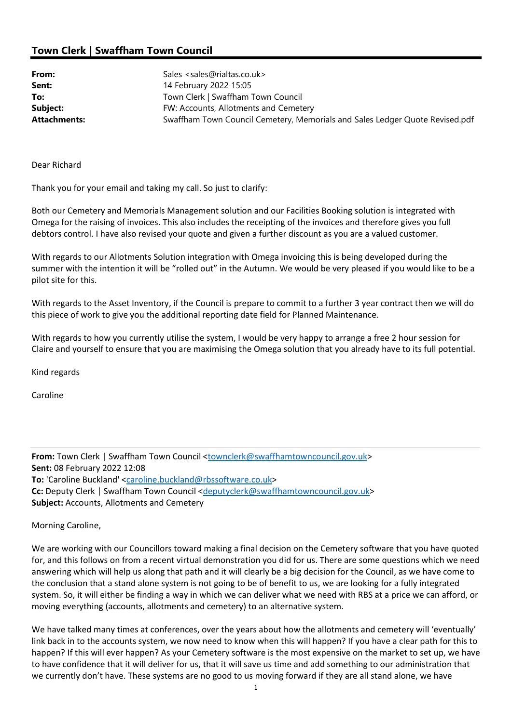## Town Clerk | Swaffham Town Council

| From:               | Sales <sales@rialtas.co.uk></sales@rialtas.co.uk>                            |
|---------------------|------------------------------------------------------------------------------|
| Sent:               | 14 February 2022 15:05                                                       |
| To:                 | Town Clerk   Swaffham Town Council                                           |
| Subject:            | FW: Accounts, Allotments and Cemetery                                        |
| <b>Attachments:</b> | Swaffham Town Council Cemetery, Memorials and Sales Ledger Quote Revised.pdf |

Dear Richard

Thank you for your email and taking my call. So just to clarify:

Both our Cemetery and Memorials Management solution and our Facilities Booking solution is integrated with Omega for the raising of invoices. This also includes the receipting of the invoices and therefore gives you full debtors control. I have also revised your quote and given a further discount as you are a valued customer.

With regards to our Allotments Solution integration with Omega invoicing this is being developed during the summer with the intention it will be "rolled out" in the Autumn. We would be very pleased if you would like to be a pilot site for this.

With regards to the Asset Inventory, if the Council is prepare to commit to a further 3 year contract then we will do this piece of work to give you the additional reporting date field for Planned Maintenance.

With regards to how you currently utilise the system, I would be very happy to arrange a free 2 hour session for Claire and yourself to ensure that you are maximising the Omega solution that you already have to its full potential.

Kind regards

Caroline

From: Town Clerk | Swaffham Town Council <townclerk@swaffhamtowncouncil.gov.uk> Sent: 08 February 2022 12:08 To: 'Caroline Buckland' <caroline.buckland@rbssoftware.co.uk> Cc: Deputy Clerk | Swaffham Town Council <deputyclerk@swaffhamtowncouncil.gov.uk> Subject: Accounts, Allotments and Cemetery

Morning Caroline,

We are working with our Councillors toward making a final decision on the Cemetery software that you have quoted for, and this follows on from a recent virtual demonstration you did for us. There are some questions which we need answering which will help us along that path and it will clearly be a big decision for the Council, as we have come to the conclusion that a stand alone system is not going to be of benefit to us, we are looking for a fully integrated system. So, it will either be finding a way in which we can deliver what we need with RBS at a price we can afford, or moving everything (accounts, allotments and cemetery) to an alternative system.

We have talked many times at conferences, over the years about how the allotments and cemetery will 'eventually' link back in to the accounts system, we now need to know when this will happen? If you have a clear path for this to happen? If this will ever happen? As your Cemetery software is the most expensive on the market to set up, we have to have confidence that it will deliver for us, that it will save us time and add something to our administration that we currently don't have. These systems are no good to us moving forward if they are all stand alone, we have